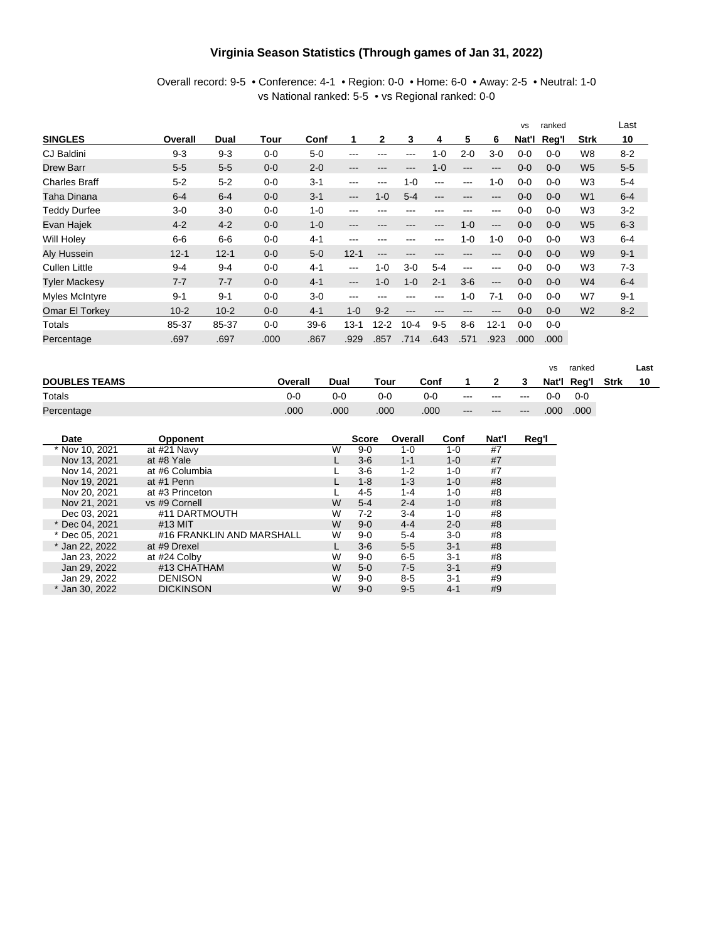#### **Virginia Season Statistics (Through games of Jan 31, 2022)**

#### Overall record: 9-5 • Conference: 4-1 • Region: 0-0 • Home: 6-0 • Away: 2-5 • Neutral: 1-0 vs National ranked: 5-5 • vs Regional ranked: 0-0

|                      |          |          |         |         |          |              |         |         |                   |          | <b>VS</b> | ranked  |                | Last    |
|----------------------|----------|----------|---------|---------|----------|--------------|---------|---------|-------------------|----------|-----------|---------|----------------|---------|
| <b>SINGLES</b>       | Overall  | Dual     | Tour    | Conf    | 1        | $\mathbf{2}$ | 3       | 4       | 5                 | 6        | Nat'l     | Reg'l   | <b>Strk</b>    | 10      |
| CJ Baldini           | $9 - 3$  | $9 - 3$  | 0-0     | $5-0$   | ---      | ---          | ---     | $1 - 0$ | $2 - 0$           | $3-0$    | $0-0$     | $0 - 0$ | W8             | $8 - 2$ |
| Drew Barr            | $5-5$    | $5-5$    | $0-0$   | $2 - 0$ | ---      | ---          | ---     | $1 - 0$ | $\qquad \qquad -$ | ---      | $0-0$     | $0 - 0$ | W <sub>5</sub> | $5-5$   |
| <b>Charles Braff</b> | $5 - 2$  | $5 - 2$  | $0-0$   | $3 - 1$ | ---      | ---          | $1 - 0$ | ---     | ---               | $1 - 0$  | $0-0$     | $0 - 0$ | W <sub>3</sub> | $5-4$   |
| Taha Dinana          | $6 - 4$  | $6-4$    | $0 - 0$ | $3 - 1$ | ---      | $1 - 0$      | $5-4$   | ---     | ---               | ---      | $0 - 0$   | $0 - 0$ | W <sub>1</sub> | $6 - 4$ |
| <b>Teddy Durfee</b>  | $3-0$    | $3-0$    | $0 - 0$ | $1 - 0$ | ---      |              |         | ---     | ---               | ---      | $0-0$     | $0 - 0$ | W <sub>3</sub> | $3 - 2$ |
| Evan Hajek           | $4 - 2$  | $4 - 2$  | $0 - 0$ | $1 - 0$ | ---      | ---          | ---     | ---     | $1 - 0$           | ---      | $0 - 0$   | $0 - 0$ | W <sub>5</sub> | $6 - 3$ |
| Will Holey           | $6-6$    | $6-6$    | $0 - 0$ | $4 - 1$ | ---      | ---          | ---     | ---     | $1 - 0$           | $1 - 0$  | $0 - 0$   | $0 - 0$ | W <sub>3</sub> | $6-4$   |
| Aly Hussein          | $12 - 1$ | $12 - 1$ | $0 - 0$ | $5-0$   | $12 - 1$ | $---$        | ---     |         | ---               | ---      | $0 - 0$   | $0 - 0$ | W <sub>9</sub> | $9 - 1$ |
| <b>Cullen Little</b> | $9 - 4$  | $9 - 4$  | 0-0     | $4 - 1$ | ---      | $1 - 0$      | $3-0$   | $5-4$   | ---               | ---      | $0-0$     | $0 - 0$ | W <sub>3</sub> | $7 - 3$ |
| <b>Tyler Mackesy</b> | $7 - 7$  | $7 - 7$  | $0-0$   | $4 - 1$ | ---      | $1 - 0$      | $1 - 0$ | $2 - 1$ | $3-6$             | $---$    | $0 - 0$   | $0 - 0$ | W <sub>4</sub> | $6-4$   |
| Myles McIntyre       | $9 - 1$  | $9 - 1$  | $0 - 0$ | $3-0$   | ---      | ---          | ---     | ---     | $1 - 0$           | $7 - 1$  | $0-0$     | $0 - 0$ | W7             | $9 - 1$ |
| Omar El Torkey       | $10 - 2$ | $10 - 2$ | $0-0$   | $4 - 1$ | $1 - 0$  | $9 - 2$      | ---     | ---     | ---               | ---      | $0 - 0$   | $0 - 0$ | W <sub>2</sub> | $8 - 2$ |
| Totals               | 85-37    | 85-37    | $0 - 0$ | $39-6$  | $13 - 1$ | $12 - 2$     | $10-4$  | $9-5$   | $8-6$             | $12 - 1$ | $0-0$     | $0 - 0$ |                |         |
| Percentage           | .697     | .697     | .000    | .867    | .929     | .857         | .714    | .643    | .571              | .923     | .000      | .000    |                |         |

|                      |         |      |      |      |                                          |                                          |       | <b>VS</b> | ranked  |             | Last |
|----------------------|---------|------|------|------|------------------------------------------|------------------------------------------|-------|-----------|---------|-------------|------|
| <b>DOUBLES TEAMS</b> | Overall | Dual | Tour | Conf |                                          |                                          | З     | Nat'l     | Rea'l   | <b>Strk</b> | 10   |
| Totals               | 0-0     | 0-0  | 0-0  | 0-0  | $\hspace{0.05cm} \ldots \hspace{0.05cm}$ | $\hspace{0.05cm} \ldots \hspace{0.05cm}$ | $---$ | $0 - 0$   | $0 - 0$ |             |      |
| Percentage           | .000    | .000 | .000 | .000 | $---$                                    | $\cdots$                                 | $---$ | .000      | .000    |             |      |

| Date           | <b>Opponent</b>           |   | <b>Score</b> | Overall | Conf    | Nat'l | Reg'l |
|----------------|---------------------------|---|--------------|---------|---------|-------|-------|
| * Nov 10, 2021 | at #21 Navy               | W | $9 - 0$      | 1-0     | 1-0     | #7    |       |
| Nov 13, 2021   | at #8 Yale                |   | $3 - 6$      | $1 - 1$ | $1 - 0$ | #7    |       |
| Nov 14, 2021   | at #6 Columbia            |   | $3-6$        | $1 - 2$ | 1-0     | #7    |       |
| Nov 19, 2021   | at #1 Penn                |   | $1 - 8$      | $1 - 3$ | $1 - 0$ | #8    |       |
| Nov 20, 2021   | at #3 Princeton           |   | $4-5$        | $1 - 4$ | 1-0     | #8    |       |
| Nov 21, 2021   | vs #9 Cornell             | W | $5 - 4$      | $2 - 4$ | $1 - 0$ | #8    |       |
| Dec 03, 2021   | #11 DARTMOUTH             | W | $7-2$        | $3 - 4$ | $1 - 0$ | #8    |       |
| * Dec 04, 2021 | #13 MIT                   | W | $9-0$        | $4 - 4$ | $2 - 0$ | #8    |       |
| * Dec 05, 2021 | #16 FRANKLIN AND MARSHALL | W | $9-0$        | $5 - 4$ | $3-0$   | #8    |       |
| Jan 22, 2022   | at #9 Drexel              |   | $3 - 6$      | $5-5$   | $3 - 1$ | #8    |       |
| Jan 23, 2022   | at #24 Colby              | W | $9-0$        | $6 - 5$ | $3 - 1$ | #8    |       |
| Jan 29, 2022   | #13 CHATHAM               | W | $5 - 0$      | $7-5$   | $3 - 1$ | #9    |       |
| Jan 29, 2022   | <b>DENISON</b>            | W | $9 - 0$      | $8-5$   | $3 - 1$ | #9    |       |
| Jan 30, 2022   | <b>DICKINSON</b>          | W | $9 - 0$      | $9-5$   | $4 - 1$ | #9    |       |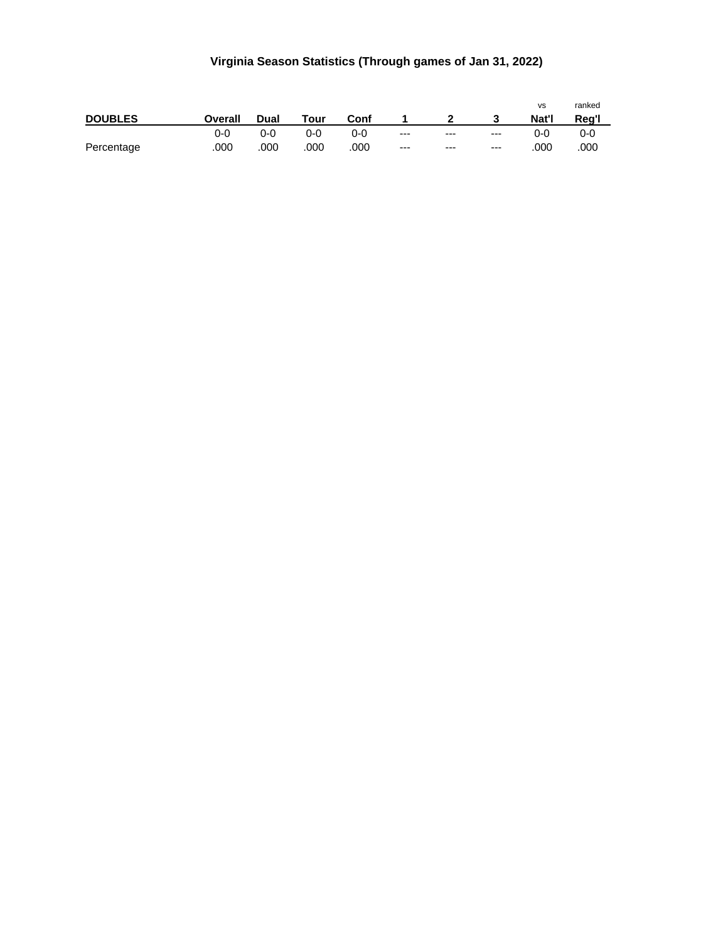## **Virginia Season Statistics (Through games of Jan 31, 2022)**

|                |         |       |         |         |          |                         |       | VS    | ranked  |
|----------------|---------|-------|---------|---------|----------|-------------------------|-------|-------|---------|
| <b>DOUBLES</b> | Overall | Dual  | Tour    | Conf    | $\sim$ 1 | $\overline{\mathbf{2}}$ |       | Nat'l | Reg'l   |
|                | 0-0     | $0-0$ | $0 - 0$ | $0 - 0$ | $--$     | $---$                   | $---$ | ი-ი   | $0 - 0$ |
| Percentage     | .000    | .000  | .000    | .000    | $---$    | $---$                   | $---$ | .000  | .000    |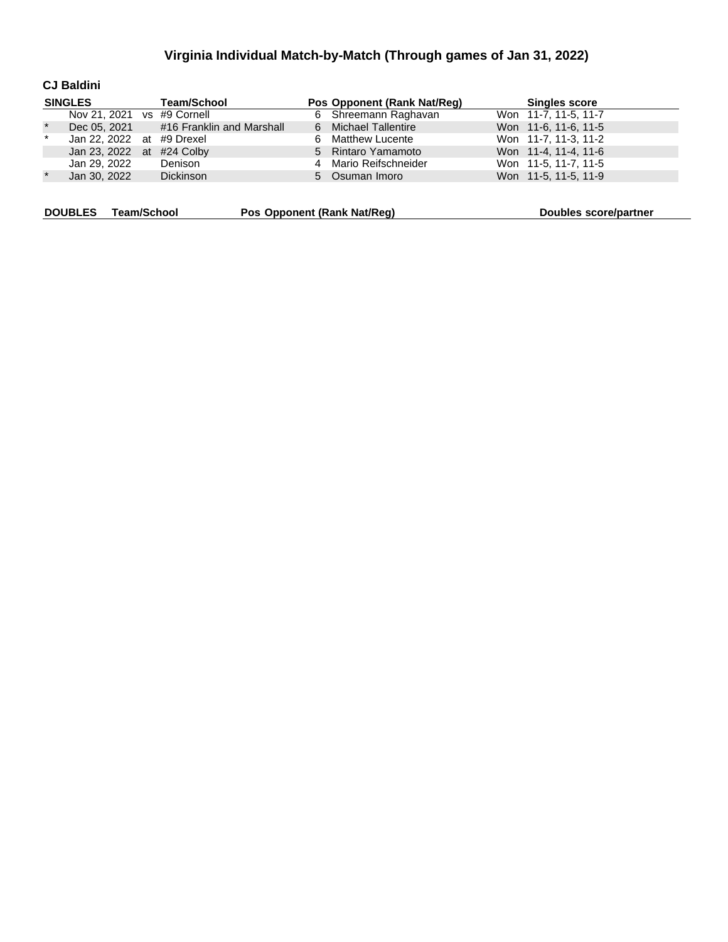#### **CJ Baldini**

|         | <b>SINGLES</b>             | <b>Team/School</b>        | Pos Opponent (Rank Nat/Req) | <b>Singles score</b> |
|---------|----------------------------|---------------------------|-----------------------------|----------------------|
|         | Nov 21, 2021 vs #9 Cornell |                           | 6 Shreemann Raghavan        | Won 11-7, 11-5, 11-7 |
| $\star$ | Dec 05, 2021               | #16 Franklin and Marshall | 6 Michael Tallentire        | Won 11-6, 11-6, 11-5 |
| $\star$ | Jan 22, 2022 at #9 Drexel  |                           | 6 Matthew Lucente           | Won 11-7, 11-3, 11-2 |
|         | Jan 23, 2022 at #24 Colby  |                           | 5 Rintaro Yamamoto          | Won 11-4, 11-4, 11-6 |
|         | Jan 29, 2022               | Denison                   | 4 Mario Reifschneider       | Won 11-5, 11-7, 11-5 |
| $\star$ | Jan 30, 2022               | <b>Dickinson</b>          | 5 Osuman Imoro              | Won 11-5, 11-5, 11-9 |
|         |                            |                           |                             |                      |

| DOUBLES Team/School<br>Pos Opponent (Rank Nat/Reg) | Doubles score/partner |
|----------------------------------------------------|-----------------------|
|----------------------------------------------------|-----------------------|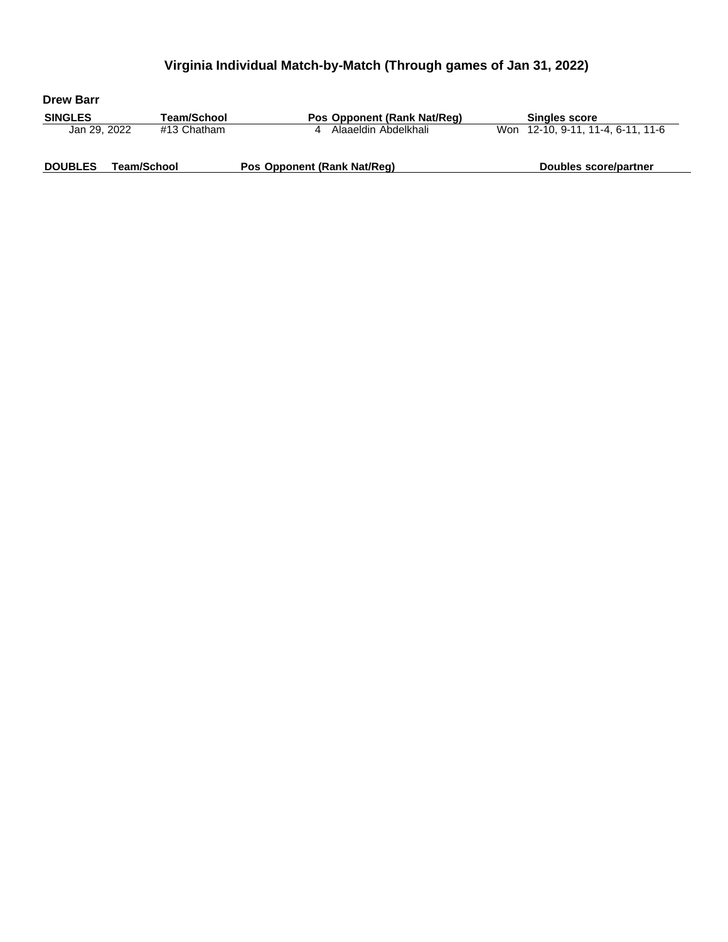| <b>Drew Barr</b> |             |                             |                                   |  |
|------------------|-------------|-----------------------------|-----------------------------------|--|
| <b>SINGLES</b>   | Team/School | Pos Opponent (Rank Nat/Req) | <b>Singles score</b>              |  |
| Jan 29, 2022     | #13 Chatham | Alaaeldin Abdelkhali        | Won 12-10, 9-11, 11-4, 6-11, 11-6 |  |
| <b>DOUBLES</b>   | Team/School | Pos Opponent (Rank Nat/Req) | Doubles score/partner             |  |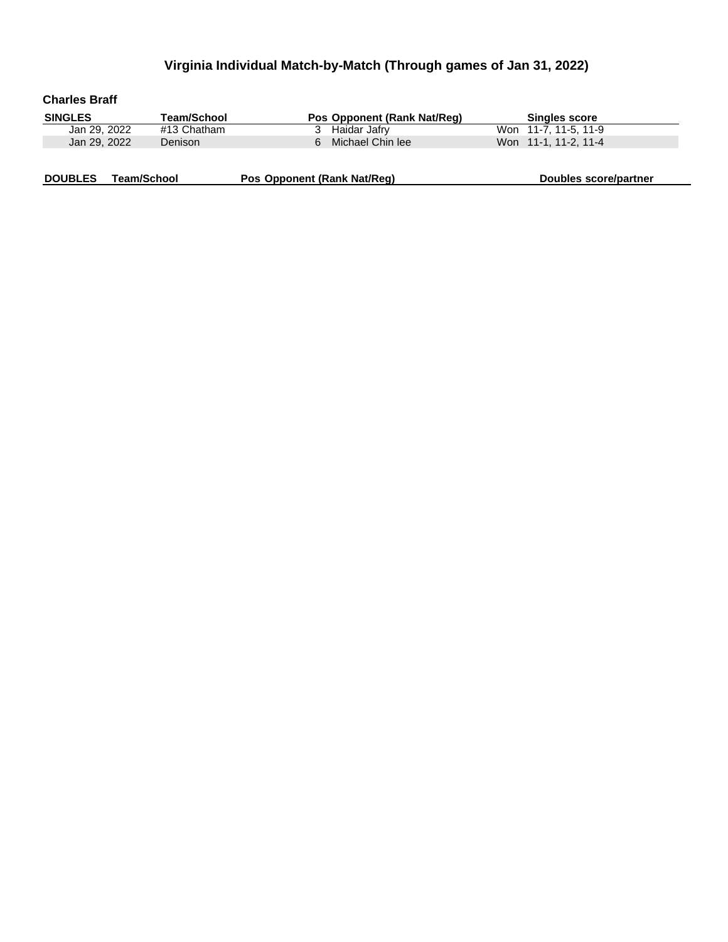| <b>Charles Braff</b> |             |                             |                      |  |  |  |  |  |  |  |
|----------------------|-------------|-----------------------------|----------------------|--|--|--|--|--|--|--|
| <b>SINGLES</b>       | Team/School | Pos Opponent (Rank Nat/Req) | <b>Singles score</b> |  |  |  |  |  |  |  |
| Jan 29, 2022         | #13 Chatham | Haidar Jafry                | Won 11-7, 11-5, 11-9 |  |  |  |  |  |  |  |
| Jan 29, 2022         | Denison     | Michael Chin lee<br>հ․      | Won 11-1, 11-2, 11-4 |  |  |  |  |  |  |  |
|                      |             |                             |                      |  |  |  |  |  |  |  |
|                      |             |                             |                      |  |  |  |  |  |  |  |

| <b>DOUBLES</b> | Team/School | Pos Opponent (Rank Nat/Reg) | Doubles score/partner |
|----------------|-------------|-----------------------------|-----------------------|
|                |             |                             |                       |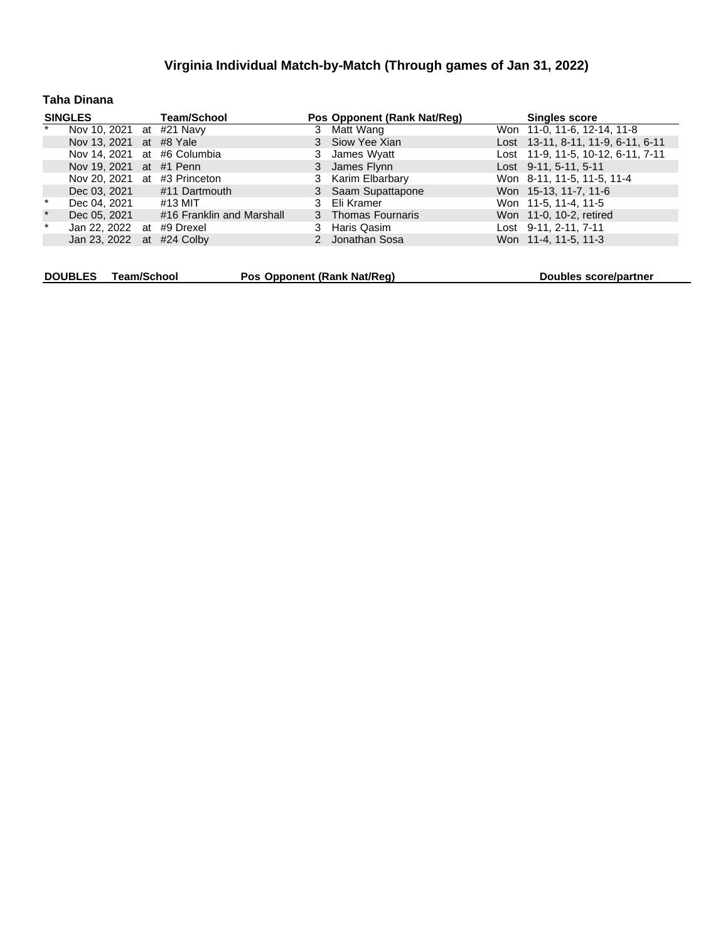#### **Taha Dinana**

|         | <b>SINGLES</b>            |  | <b>Team/School</b>           |   | Pos Opponent (Rank Nat/Reg) |  | <b>Singles score</b>               |  |  |  |
|---------|---------------------------|--|------------------------------|---|-----------------------------|--|------------------------------------|--|--|--|
|         | Nov 10, 2021 at #21 Navy  |  |                              | 3 | Matt Wang                   |  | Won 11-0, 11-6, 12-14, 11-8        |  |  |  |
|         | Nov 13, 2021 at #8 Yale   |  |                              |   | 3 Siow Yee Xian             |  | Lost 13-11, 8-11, 11-9, 6-11, 6-11 |  |  |  |
|         | Nov 14, 2021              |  | at #6 Columbia               |   | James Wyatt                 |  | Lost 11-9, 11-5, 10-12, 6-11, 7-11 |  |  |  |
|         | Nov 19, 2021              |  | at #1 Penn                   |   | 3 James Flynn               |  | Lost 9-11, 5-11, 5-11              |  |  |  |
|         |                           |  | Nov 20, 2021 at #3 Princeton |   | Karim Elbarbary             |  | Won 8-11, 11-5, 11-5, 11-4         |  |  |  |
|         | Dec 03, 2021              |  | #11 Dartmouth                |   | 3 Saam Supattapone          |  | Won 15-13, 11-7, 11-6              |  |  |  |
| $\ast$  | Dec 04, 2021              |  | #13 MIT                      |   | Eli Kramer                  |  | Won 11-5, 11-4, 11-5               |  |  |  |
| $\star$ | Dec 05, 2021              |  | #16 Franklin and Marshall    | 3 | Thomas Fournaris            |  | Won 11-0, 10-2, retired            |  |  |  |
| $\ast$  | Jan 22, 2022 at #9 Drexel |  |                              |   | Haris Qasim                 |  | Lost 9-11, 2-11, 7-11              |  |  |  |
|         | Jan 23, 2022 at #24 Colby |  |                              |   | 2 Jonathan Sosa             |  | Won 11-4, 11-5, 11-3               |  |  |  |
|         |                           |  |                              |   |                             |  |                                    |  |  |  |
|         | <b>DOUBLES</b>            |  | <b>Team/School</b>           |   | Pos Opponent (Rank Nat/Req) |  | Doubles score/partner              |  |  |  |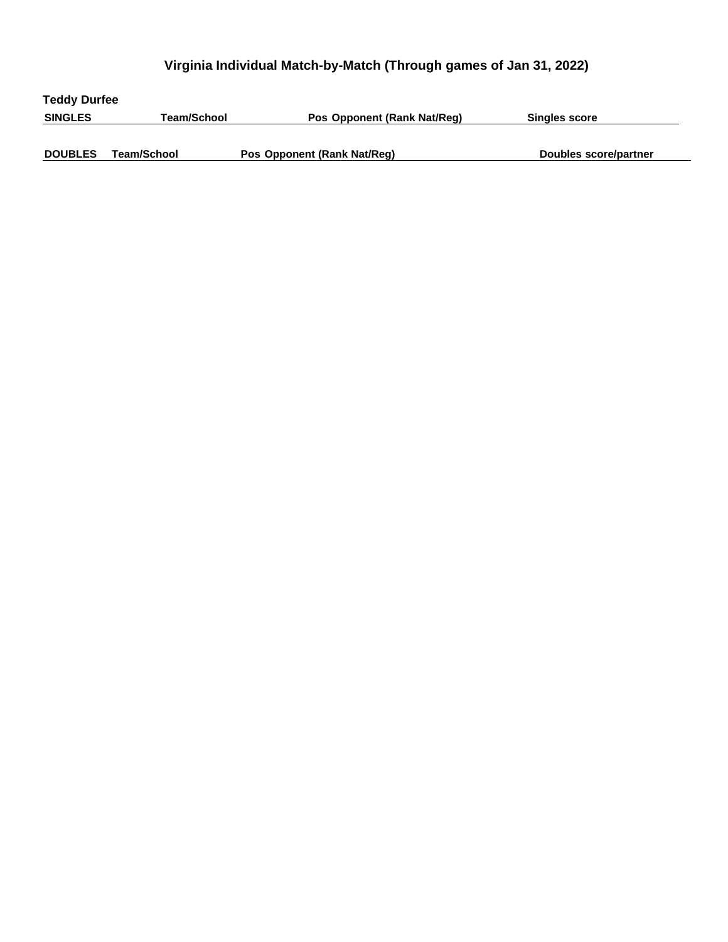**Teddy Durfee SINGLES Team/School Pos Opponent (Rank Nat/Reg) Singles score DOUBLES Team/School <b>Pos Opponent** (Rank Nat/Reg) **Doubles** score/partner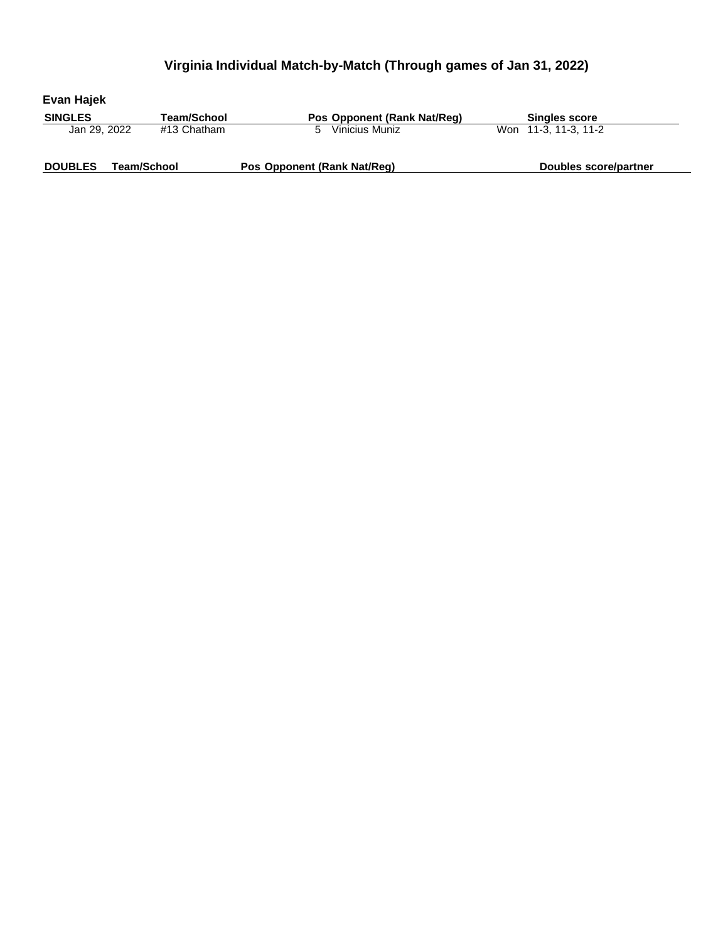| Evan Hajek     |             |                             |                       |  |  |  |  |  |  |  |  |
|----------------|-------------|-----------------------------|-----------------------|--|--|--|--|--|--|--|--|
| <b>SINGLES</b> | Team/School | Pos Opponent (Rank Nat/Reg) | <b>Singles score</b>  |  |  |  |  |  |  |  |  |
| Jan 29, 2022   | #13 Chatham | Vinicius Muniz              | Won 11-3, 11-3, 11-2  |  |  |  |  |  |  |  |  |
| <b>DOUBLES</b> | Team/School | Pos Opponent (Rank Nat/Reg) | Doubles score/partner |  |  |  |  |  |  |  |  |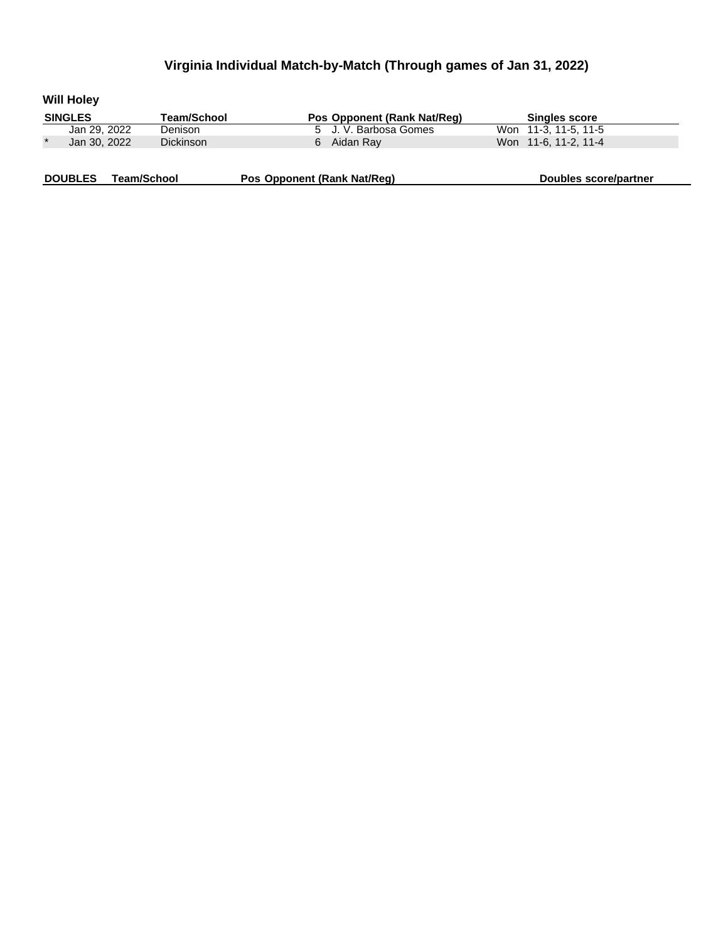|         | <b>Will Holey</b> |                  |                             |                      |  |  |  |  |  |  |  |
|---------|-------------------|------------------|-----------------------------|----------------------|--|--|--|--|--|--|--|
|         | <b>SINGLES</b>    | Team/School      | Pos Opponent (Rank Nat/Req) | <b>Singles score</b> |  |  |  |  |  |  |  |
|         | Jan 29, 2022      | Denison          | 5 J.V. Barbosa Gomes        | Won 11-3, 11-5, 11-5 |  |  |  |  |  |  |  |
| $\star$ | Jan 30, 2022      | <b>Dickinson</b> | Aidan Ray<br>6.             | Won 11-6, 11-2, 11-4 |  |  |  |  |  |  |  |
|         |                   |                  |                             |                      |  |  |  |  |  |  |  |

|  | <b>DOUBLES</b> | Team/School | Pos Opponent (Rank Nat/Reg) | Doubles score/partner |
|--|----------------|-------------|-----------------------------|-----------------------|
|--|----------------|-------------|-----------------------------|-----------------------|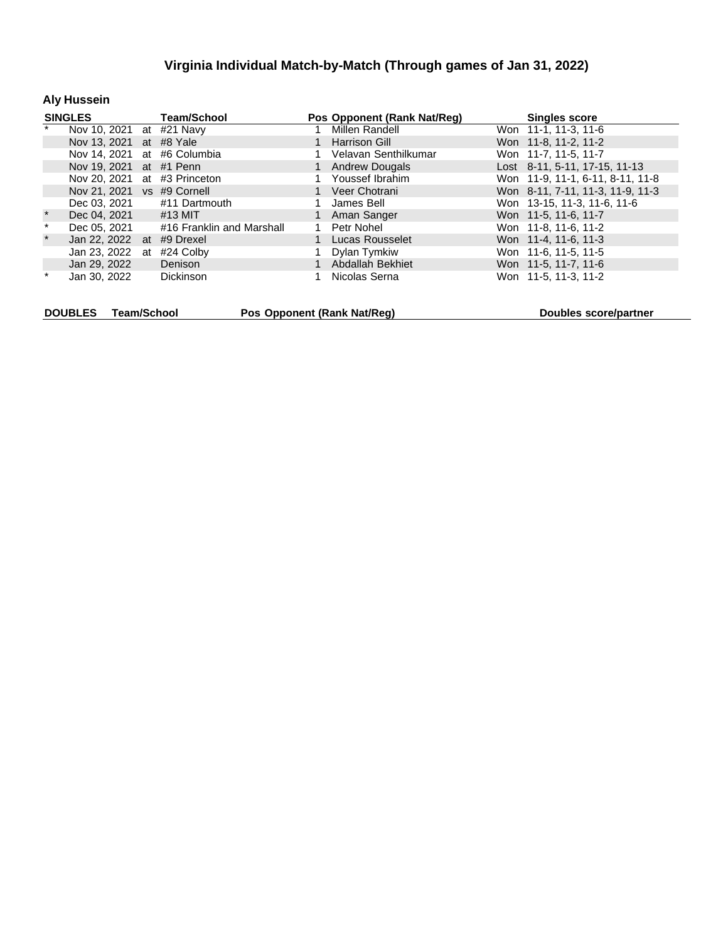### **Aly Hussein**

| <b>SINGLES</b> |                              | <b>Team/School</b>        |  | Pos Opponent (Rank Nat/Reg) |  | <b>Singles score</b>             |  |
|----------------|------------------------------|---------------------------|--|-----------------------------|--|----------------------------------|--|
|                | Nov 10, 2021 at #21 Navy     |                           |  | Millen Randell              |  | Won 11-1, 11-3, 11-6             |  |
|                | Nov 13, 2021 at #8 Yale      |                           |  | <b>Harrison Gill</b>        |  | Won 11-8, 11-2, 11-2             |  |
|                | Nov 14, 2021                 | at #6 Columbia            |  | Velavan Senthilkumar        |  | Won 11-7, 11-5, 11-7             |  |
|                | Nov 19, 2021 at #1 Penn      |                           |  | <b>Andrew Dougals</b>       |  | Lost 8-11, 5-11, 17-15, 11-13    |  |
|                | Nov 20, 2021 at #3 Princeton |                           |  | Youssef Ibrahim             |  | Won 11-9, 11-1, 6-11, 8-11, 11-8 |  |
|                | Nov 21, 2021 vs #9 Cornell   |                           |  | Veer Chotrani               |  | Won 8-11, 7-11, 11-3, 11-9, 11-3 |  |
|                | Dec 03, 2021                 | #11 Dartmouth             |  | James Bell                  |  | Won 13-15, 11-3, 11-6, 11-6      |  |
| $\star$        | Dec 04, 2021                 | #13 MIT                   |  | Aman Sanger                 |  | Won 11-5, 11-6, 11-7             |  |
| $\ast$         | Dec 05, 2021                 | #16 Franklin and Marshall |  | Petr Nohel                  |  | Won 11-8, 11-6, 11-2             |  |
| $\star$        | Jan 22, 2022 at #9 Drexel    |                           |  | Lucas Rousselet             |  | Won 11-4, 11-6, 11-3             |  |
|                | Jan 23, 2022 at #24 Colby    |                           |  | Dylan Tymkiw                |  | Won 11-6, 11-5, 11-5             |  |
|                | Jan 29, 2022                 | Denison                   |  | Abdallah Bekhiet            |  | Won 11-5, 11-7, 11-6             |  |
|                | Jan 30, 2022                 | <b>Dickinson</b>          |  | Nicolas Serna               |  | Won 11-5, 11-3, 11-2             |  |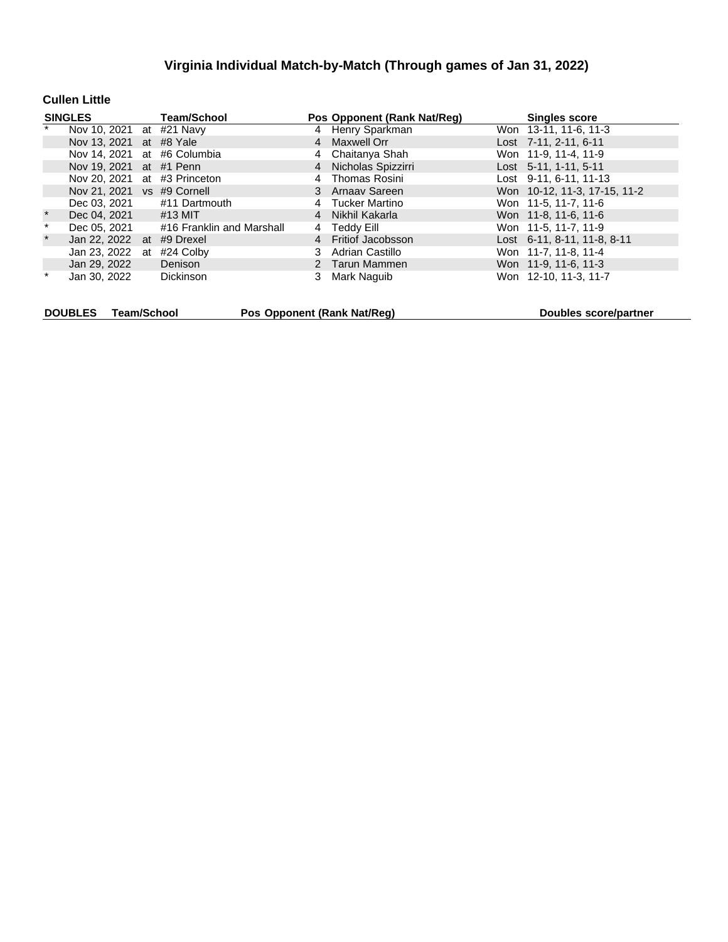#### **Cullen Little**

| <b>SINGLES</b> |                              | <b>Team/School</b>        |   | Pos Opponent (Rank Nat/Reg) | <b>Singles score</b>         |
|----------------|------------------------------|---------------------------|---|-----------------------------|------------------------------|
|                | Nov 10, 2021 at #21 Navy     |                           |   | 4 Henry Sparkman            | Won 13-11, 11-6, 11-3        |
|                | Nov 13, 2021 at #8 Yale      |                           |   | 4 Maxwell Orr               | Lost 7-11, 2-11, 6-11        |
|                | Nov 14, 2021                 | at #6 Columbia            |   | 4 Chaitanya Shah            | Won 11-9, 11-4, 11-9         |
|                | Nov 19, 2021 at #1 Penn      |                           |   | 4 Nicholas Spizzirri        | Lost 5-11, 1-11, 5-11        |
|                | Nov 20, 2021 at #3 Princeton |                           |   | Thomas Rosini               | Lost 9-11, 6-11, 11-13       |
|                | Nov 21, 2021 vs #9 Cornell   |                           |   | 3 Arnaav Sareen             | Won 10-12, 11-3, 17-15, 11-2 |
|                | Dec 03, 2021                 | #11 Dartmouth             |   | Tucker Martino              | Won 11-5, 11-7, 11-6         |
|                | Dec 04, 2021                 | #13 MIT                   |   | 4 Nikhil Kakarla            | Won 11-8, 11-6, 11-6         |
| $\ast$         | Dec 05, 2021                 | #16 Franklin and Marshall | 4 | Teddy Eill                  | Won 11-5, 11-7, 11-9         |
| $\star$        | Jan 22, 2022 at #9 Drexel    |                           |   | 4 Fritiof Jacobsson         | Lost 6-11, 8-11, 11-8, 8-11  |
|                | Jan 23, 2022 at              | #24 Colbv                 |   | 3 Adrian Castillo           | Won 11-7, 11-8, 11-4         |
|                | Jan 29, 2022                 | Denison                   |   | 2 Tarun Mammen              | Won 11-9, 11-6, 11-3         |
|                | Jan 30, 2022                 | <b>Dickinson</b>          |   | Mark Naguib                 | Won 12-10, 11-3, 11-7        |
|                |                              |                           |   |                             |                              |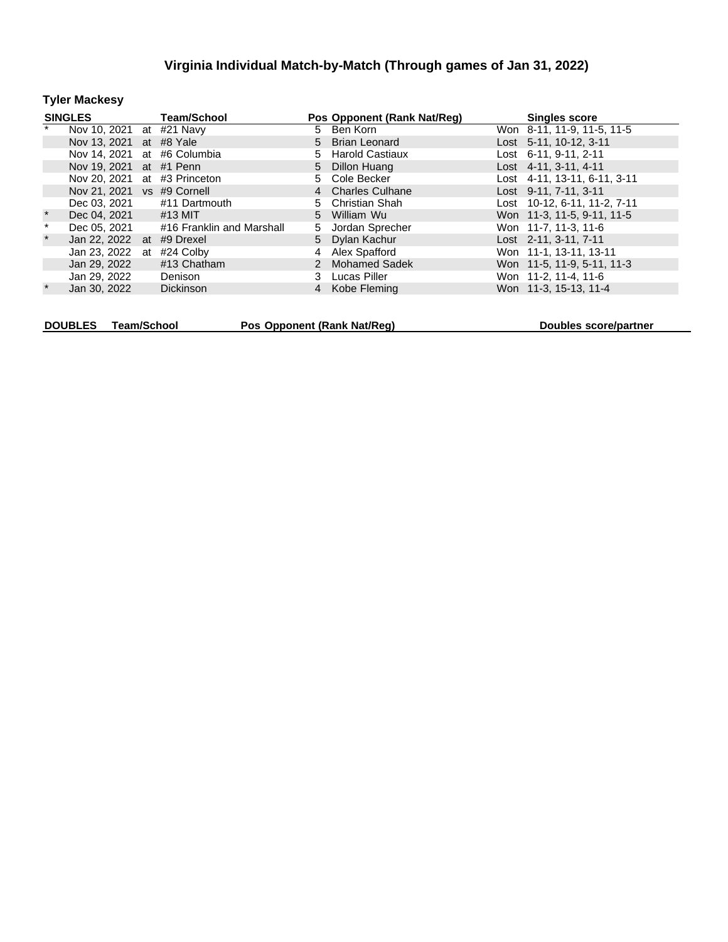### **Tyler Mackesy**

| <b>SINGLES</b> |                              | <b>Team/School</b>         |  | Pos Opponent (Rank Nat/Reg) |  | <b>Singles score</b>         |  |
|----------------|------------------------------|----------------------------|--|-----------------------------|--|------------------------------|--|
|                | Nov 10, 2021 at #21 Navy     |                            |  | 5 Ben Korn                  |  | Won 8-11, 11-9, 11-5, 11-5   |  |
|                | Nov 13, 2021 at #8 Yale      |                            |  | 5 Brian Leonard             |  | Lost 5-11, 10-12, 3-11       |  |
|                | Nov 14, 2021 at #6 Columbia  |                            |  | 5 Harold Castiaux           |  | Lost 6-11, 9-11, 2-11        |  |
|                | Nov 19, 2021 at #1 Penn      |                            |  | 5 Dillon Huang              |  | Lost 4-11, 3-11, 4-11        |  |
|                | Nov 20, 2021 at #3 Princeton |                            |  | 5 Cole Becker               |  | Lost 4-11, 13-11, 6-11, 3-11 |  |
|                | Nov 21, 2021 vs #9 Cornell   |                            |  | 4 Charles Culhane           |  | Lost 9-11, 7-11, 3-11        |  |
|                |                              | Dec 03. 2021 #11 Dartmouth |  | 5 Christian Shah            |  | Lost 10-12, 6-11, 11-2, 7-11 |  |
| $\pmb{\ast}$   | Dec 04, 2021                 | $#13$ MIT                  |  | 5 William Wu                |  | Won 11-3, 11-5, 9-11, 11-5   |  |
| $\ast$         | Dec 05, 2021                 | #16 Franklin and Marshall  |  | 5 Jordan Sprecher           |  | Won 11-7, 11-3, 11-6         |  |
| $\star$        | Jan 22, 2022 at #9 Drexel    |                            |  | 5 Dylan Kachur              |  | Lost 2-11, 3-11, 7-11        |  |
|                | Jan 23, 2022 at              | #24 Colby                  |  | 4 Alex Spafford             |  | Won 11-1, 13-11, 13-11       |  |
|                | Jan 29, 2022                 | #13 Chatham                |  | 2 Mohamed Sadek             |  | Won 11-5, 11-9, 5-11, 11-3   |  |
|                | Jan 29, 2022                 | Denison                    |  | Lucas Piller                |  | Won 11-2, 11-4, 11-6         |  |
| $\ast$         | Jan 30, 2022                 | <b>Dickinson</b>           |  | Kobe Fleming                |  | Won 11-3, 15-13, 11-4        |  |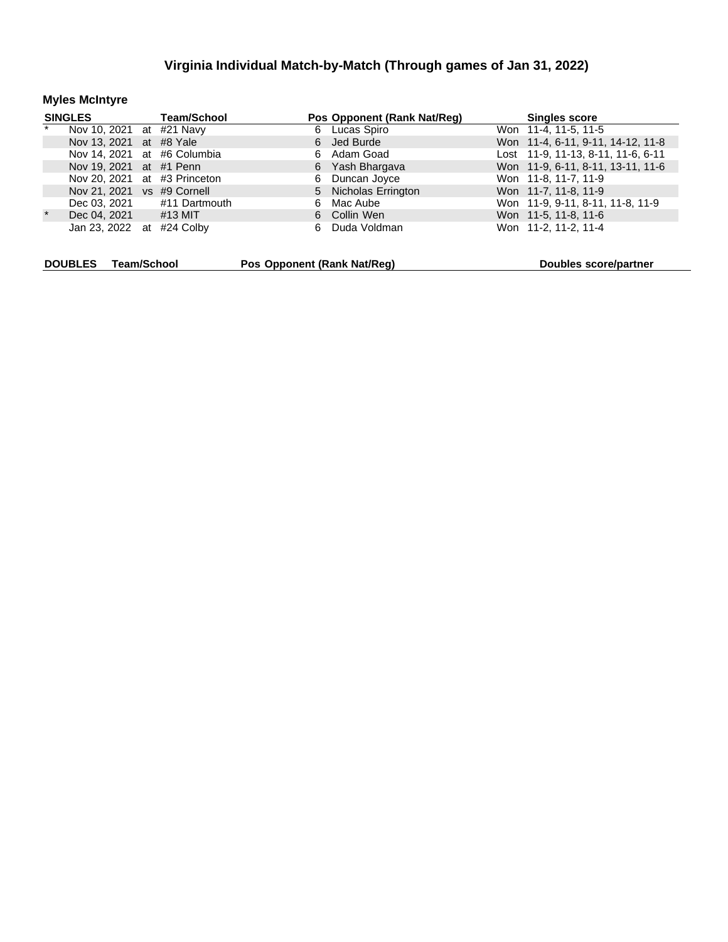#### **Myles McIntyre**

| <b>SINGLES</b><br><b>Team/School</b> | Pos Opponent (Rank Nat/Reg) | <b>Singles score</b>               |  |  |  |  |  |  |
|--------------------------------------|-----------------------------|------------------------------------|--|--|--|--|--|--|
| Nov 10, 2021 at #21 Navy             | Lucas Spiro<br>6            | Won 11-4, 11-5, 11-5               |  |  |  |  |  |  |
| Nov 13, 2021 at #8 Yale              | 6 Jed Burde                 | Won 11-4, 6-11, 9-11, 14-12, 11-8  |  |  |  |  |  |  |
| Nov 14, 2021 at #6 Columbia          | Adam Goad<br>6.             | Lost 11-9, 11-13, 8-11, 11-6, 6-11 |  |  |  |  |  |  |
| Nov 19, 2021 at #1 Penn              | Yash Bhargava<br>6          | Won 11-9, 6-11, 8-11, 13-11, 11-6  |  |  |  |  |  |  |
| Nov 20, 2021 at #3 Princeton         | Duncan Joyce<br>6           | Won 11-8, 11-7, 11-9               |  |  |  |  |  |  |
| Nov 21, 2021 vs #9 Cornell           | 5 Nicholas Errington        | Won 11-7, 11-8, 11-9               |  |  |  |  |  |  |
| #11 Dartmouth<br>Dec 03, 2021        | Mac Aube<br>6.              | Won 11-9, 9-11, 8-11, 11-8, 11-9   |  |  |  |  |  |  |
| $\star$<br>Dec 04, 2021<br>$#13$ MIT | 6 Collin Wen                | Won 11-5, 11-8, 11-6               |  |  |  |  |  |  |
| Jan 23, 2022 at #24 Colby            | Duda Voldman<br>6.          | Won 11-2, 11-2, 11-4               |  |  |  |  |  |  |
|                                      |                             |                                    |  |  |  |  |  |  |
| <b>DOUBLES</b><br><b>Team/School</b> | Pos Opponent (Rank Nat/Req) | Doubles score/partner              |  |  |  |  |  |  |